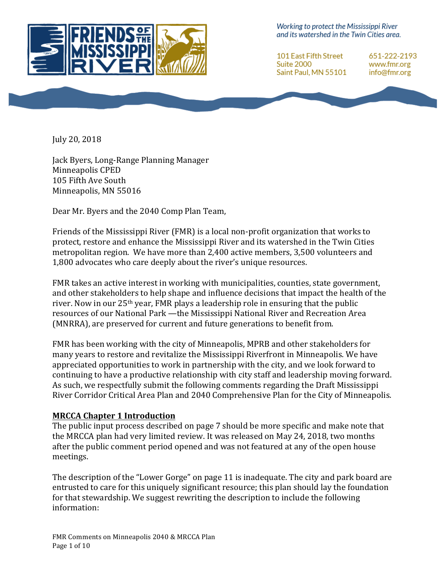

Working to protect the Mississippi River and its watershed in the Twin Cities area.

101 East Fifth Street Suite 2000 Saint Paul, MN 55101 651-222-2193 www.fmr.org info@fmr.org

July 20, 2018

Jack Byers, Long-Range Planning Manager Minneapolis CPED 105 Fifth Ave South Minneapolis, MN 55016

Dear Mr. Byers and the 2040 Comp Plan Team,

Friends of the Mississippi River (FMR) is a local non-profit organization that works to protect, restore and enhance the Mississippi River and its watershed in the Twin Cities metropolitan region. We have more than 2,400 active members, 3,500 volunteers and 1,800 advocates who care deeply about the river's unique resources.

FMR takes an active interest in working with municipalities, counties, state government, and other stakeholders to help shape and influence decisions that impact the health of the river. Now in our  $25<sup>th</sup>$  year, FMR plays a leadership role in ensuring that the public resources of our National Park —the Mississippi National River and Recreation Area (MNRRA), are preserved for current and future generations to benefit from.

FMR has been working with the city of Minneapolis, MPRB and other stakeholders for many years to restore and revitalize the Mississippi Riverfront in Minneapolis. We have appreciated opportunities to work in partnership with the city, and we look forward to continuing to have a productive relationship with city staff and leadership moving forward. As such, we respectfully submit the following comments regarding the Draft Mississippi River Corridor Critical Area Plan and 2040 Comprehensive Plan for the City of Minneapolis.

#### **MRCCA Chapter 1 Introduction**

The public input process described on page 7 should be more specific and make note that the MRCCA plan had very limited review. It was released on May 24, 2018, two months after the public comment period opened and was not featured at any of the open house meetings.

The description of the "Lower Gorge" on page 11 is inadequate. The city and park board are entrusted to care for this uniquely significant resource; this plan should lay the foundation for that stewardship. We suggest rewriting the description to include the following information: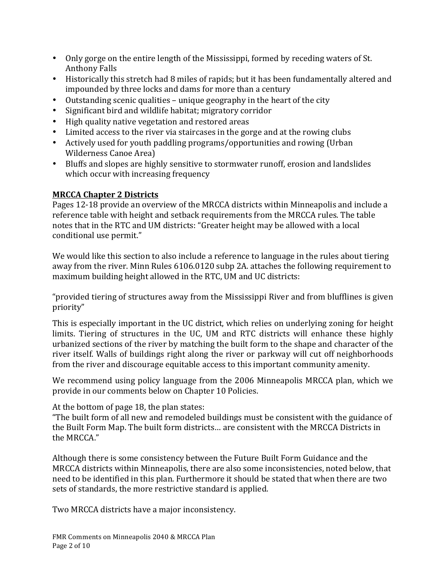- Only gorge on the entire length of the Mississippi, formed by receding waters of St. Anthony Falls
- Historically this stretch had 8 miles of rapids; but it has been fundamentally altered and impounded by three locks and dams for more than a century
- Outstanding scenic qualities unique geography in the heart of the city
- Significant bird and wildlife habitat; migratory corridor
- High quality native vegetation and restored areas
- Limited access to the river via staircases in the gorge and at the rowing clubs
- Actively used for youth paddling programs/opportunities and rowing (Urban Wilderness Canoe Area)
- Bluffs and slopes are highly sensitive to stormwater runoff, erosion and landslides which occur with increasing frequency

# **MRCCA Chapter 2 Districts**

Pages 12-18 provide an overview of the MRCCA districts within Minneapolis and include a reference table with height and setback requirements from the MRCCA rules. The table notes that in the RTC and UM districts: "Greater height may be allowed with a local conditional use permit."

We would like this section to also include a reference to language in the rules about tiering away from the river. Minn Rules 6106.0120 subp 2A. attaches the following requirement to maximum building height allowed in the RTC, UM and UC districts:

"provided tiering of structures away from the Mississippi River and from blufflines is given priority"

This is especially important in the UC district, which relies on underlying zoning for height limits. Tiering of structures in the UC, UM and RTC districts will enhance these highly urbanized sections of the river by matching the built form to the shape and character of the river itself. Walls of buildings right along the river or parkway will cut off neighborhoods from the river and discourage equitable access to this important community amenity.

We recommend using policy language from the 2006 Minneapolis MRCCA plan, which we provide in our comments below on Chapter 10 Policies.

At the bottom of page 18, the plan states:

"The built form of all new and remodeled buildings must be consistent with the guidance of the Built Form Map. The built form districts... are consistent with the MRCCA Districts in the MRCCA."

Although there is some consistency between the Future Built Form Guidance and the MRCCA districts within Minneapolis, there are also some inconsistencies, noted below, that need to be identified in this plan. Furthermore it should be stated that when there are two sets of standards, the more restrictive standard is applied.

Two MRCCA districts have a major inconsistency.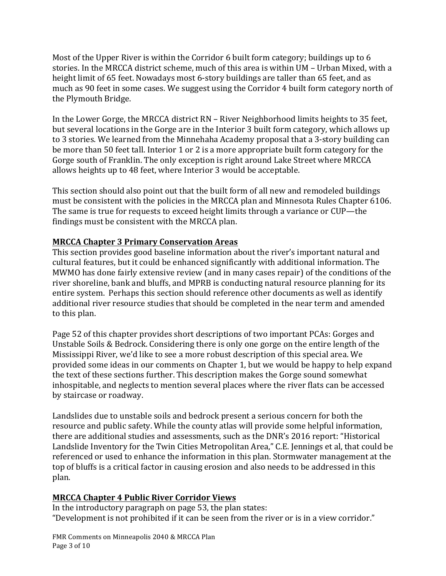Most of the Upper River is within the Corridor  $6$  built form category; buildings up to  $6$ stories. In the MRCCA district scheme, much of this area is within UM - Urban Mixed, with a height limit of 65 feet. Nowadays most 6-story buildings are taller than 65 feet, and as much as 90 feet in some cases. We suggest using the Corridor 4 built form category north of the Plymouth Bridge.

In the Lower Gorge, the MRCCA district RN – River Neighborhood limits heights to 35 feet, but several locations in the Gorge are in the Interior 3 built form category, which allows up to 3 stories. We learned from the Minnehaha Academy proposal that a 3-story building can be more than 50 feet tall. Interior 1 or 2 is a more appropriate built form category for the Gorge south of Franklin. The only exception is right around Lake Street where MRCCA allows heights up to 48 feet, where Interior 3 would be acceptable.

This section should also point out that the built form of all new and remodeled buildings must be consistent with the policies in the MRCCA plan and Minnesota Rules Chapter  $6106$ . The same is true for requests to exceed height limits through a variance or CUP-the findings must be consistent with the MRCCA plan.

# **MRCCA Chapter 3 Primary Conservation Areas**

This section provides good baseline information about the river's important natural and cultural features, but it could be enhanced significantly with additional information. The MWMO has done fairly extensive review (and in many cases repair) of the conditions of the river shoreline, bank and bluffs, and MPRB is conducting natural resource planning for its entire system. Perhaps this section should reference other documents as well as identify additional river resource studies that should be completed in the near term and amended to this plan.

Page 52 of this chapter provides short descriptions of two important PCAs: Gorges and Unstable Soils  $&$  Bedrock. Considering there is only one gorge on the entire length of the Mississippi River, we'd like to see a more robust description of this special area. We provided some ideas in our comments on Chapter 1, but we would be happy to help expand the text of these sections further. This description makes the Gorge sound somewhat inhospitable, and neglects to mention several places where the river flats can be accessed by staircase or roadway.

Landslides due to unstable soils and bedrock present a serious concern for both the resource and public safety. While the county atlas will provide some helpful information, there are additional studies and assessments, such as the DNR's 2016 report: "Historical Landslide Inventory for the Twin Cities Metropolitan Area," C.E. Jennings et al, that could be referenced or used to enhance the information in this plan. Stormwater management at the top of bluffs is a critical factor in causing erosion and also needs to be addressed in this plan. 

### **MRCCA Chapter 4 Public River Corridor Views**

In the introductory paragraph on page  $53$ , the plan states: "Development is not prohibited if it can be seen from the river or is in a view corridor."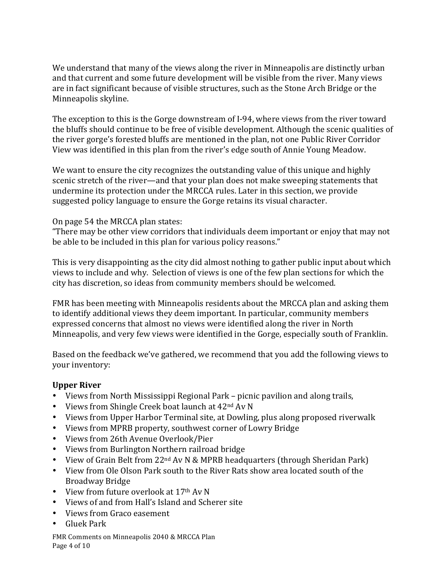We understand that many of the views along the river in Minneapolis are distinctly urban and that current and some future development will be visible from the river. Many views are in fact significant because of visible structures, such as the Stone Arch Bridge or the Minneapolis skyline.

The exception to this is the Gorge downstream of I-94, where views from the river toward the bluffs should continue to be free of visible development. Although the scenic qualities of the river gorge's forested bluffs are mentioned in the plan, not one Public River Corridor View was identified in this plan from the river's edge south of Annie Young Meadow.

We want to ensure the city recognizes the outstanding value of this unique and highly scenic stretch of the river—and that your plan does not make sweeping statements that undermine its protection under the MRCCA rules. Later in this section, we provide suggested policy language to ensure the Gorge retains its visual character.

#### On page 54 the MRCCA plan states:

"There may be other view corridors that individuals deem important or enjoy that may not be able to be included in this plan for various policy reasons."

This is very disappointing as the city did almost nothing to gather public input about which views to include and why. Selection of views is one of the few plan sections for which the city has discretion, so ideas from community members should be welcomed.

FMR has been meeting with Minneapolis residents about the MRCCA plan and asking them to identify additional views they deem important. In particular, community members expressed concerns that almost no views were identified along the river in North Minneapolis, and very few views were identified in the Gorge, especially south of Franklin.

Based on the feedback we've gathered, we recommend that you add the following views to your inventory:

#### **Upper River**

- Views from North Mississippi Regional Park picnic pavilion and along trails,
- Views from Shingle Creek boat launch at  $42<sup>nd</sup>$  Av N
- Views from Upper Harbor Terminal site, at Dowling, plus along proposed riverwalk
- Views from MPRB property, southwest corner of Lowry Bridge
- Views from 26th Avenue Overlook/Pier
- Views from Burlington Northern railroad bridge
- View of Grain Belt from 22<sup>nd</sup> Av N & MPRB headquarters (through Sheridan Park)
- View from Ole Olson Park south to the River Rats show area located south of the Broadway Bridge
- View from future overlook at  $17<sup>th</sup>$  Av N
- Views of and from Hall's Island and Scherer site
- Views from Graco easement
- Gluek Park

FMR Comments on Minneapolis 2040 & MRCCA Plan Page 4 of 10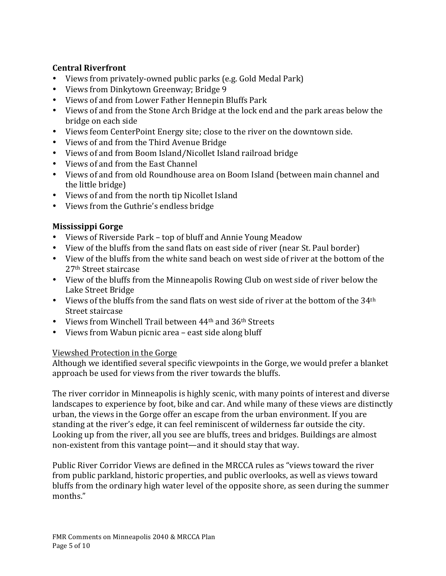### **Central Riverfront**

- Views from privately-owned public parks (e.g. Gold Medal Park)
- Views from Dinkytown Greenway; Bridge 9
- Views of and from Lower Father Hennepin Bluffs Park
- Views of and from the Stone Arch Bridge at the lock end and the park areas below the bridge on each side
- Views feom CenterPoint Energy site; close to the river on the downtown side.
- Views of and from the Third Avenue Bridge
- Views of and from Boom Island/Nicollet Island railroad bridge
- Views of and from the East Channel
- Views of and from old Roundhouse area on Boom Island (between main channel and the little bridge)
- Views of and from the north tip Nicollet Island
- Views from the Guthrie's endless bridge

# **Mississippi Gorge**

- Views of Riverside Park top of bluff and Annie Young Meadow
- View of the bluffs from the sand flats on east side of river (near St. Paul border)
- View of the bluffs from the white sand beach on west side of river at the bottom of the 27<sup>th</sup> Street staircase
- View of the bluffs from the Minneapolis Rowing Club on west side of river below the Lake Street Bridge
- Views of the bluffs from the sand flats on west side of river at the bottom of the  $34<sup>th</sup>$ Street staircase
- Views from Winchell Trail between  $44<sup>th</sup>$  and  $36<sup>th</sup>$  Streets
- Views from Wabun picnic area east side along bluff

### Viewshed Protection in the Gorge

Although we identified several specific viewpoints in the Gorge, we would prefer a blanket approach be used for views from the river towards the bluffs.

The river corridor in Minneapolis is highly scenic, with many points of interest and diverse landscapes to experience by foot, bike and car. And while many of these views are distinctly urban, the views in the Gorge offer an escape from the urban environment. If you are standing at the river's edge, it can feel reminiscent of wilderness far outside the city. Looking up from the river, all you see are bluffs, trees and bridges. Buildings are almost non-existent from this vantage point—and it should stay that way.

Public River Corridor Views are defined in the MRCCA rules as "views toward the river from public parkland, historic properties, and public overlooks, as well as views toward bluffs from the ordinary high water level of the opposite shore, as seen during the summer months."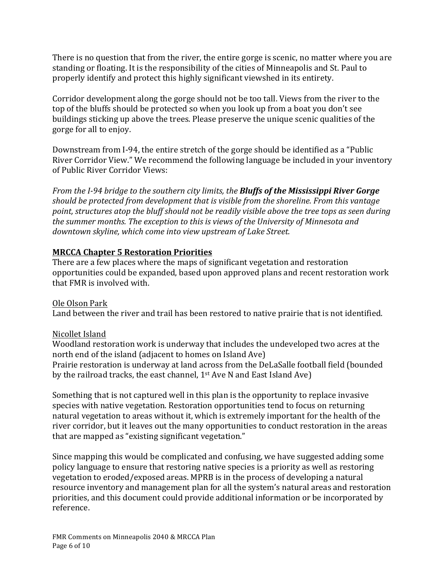There is no question that from the river, the entire gorge is scenic, no matter where you are standing or floating. It is the responsibility of the cities of Minneapolis and St. Paul to properly identify and protect this highly significant viewshed in its entirety.

Corridor development along the gorge should not be too tall. Views from the river to the top of the bluffs should be protected so when you look up from a boat you don't see buildings sticking up above the trees. Please preserve the unique scenic qualities of the gorge for all to enjoy.

Downstream from I-94, the entire stretch of the gorge should be identified as a "Public River Corridor View." We recommend the following language be included in your inventory of Public River Corridor Views:

*From the I-94 bridge to the southern city limits, the Bluffs of the Mississippi River Gorge* should be protected from development that is visible from the shoreline. From this vantage *point, structures atop the bluff should not be readily visible above the tree tops as seen during* the summer months. The exception to this is views of the University of Minnesota and downtown skyline, which come into view upstream of Lake Street.

### **MRCCA Chapter 5 Restoration Priorities**

There are a few places where the maps of significant vegetation and restoration opportunities could be expanded, based upon approved plans and recent restoration work that FMR is involved with.

Ole Olson Park Land between the river and trail has been restored to native prairie that is not identified.

### Nicollet Island

Woodland restoration work is underway that includes the undeveloped two acres at the north end of the island (adjacent to homes on Island Ave) Prairie restoration is underway at land across from the DeLaSalle football field (bounded by the railroad tracks, the east channel,  $1<sup>st</sup>$  Ave N and East Island Ave)

Something that is not captured well in this plan is the opportunity to replace invasive species with native vegetation. Restoration opportunities tend to focus on returning natural vegetation to areas without it, which is extremely important for the health of the river corridor, but it leaves out the many opportunities to conduct restoration in the areas that are mapped as "existing significant vegetation."

Since mapping this would be complicated and confusing, we have suggested adding some policy language to ensure that restoring native species is a priority as well as restoring vegetation to eroded/exposed areas. MPRB is in the process of developing a natural resource inventory and management plan for all the system's natural areas and restoration priorities, and this document could provide additional information or be incorporated by reference.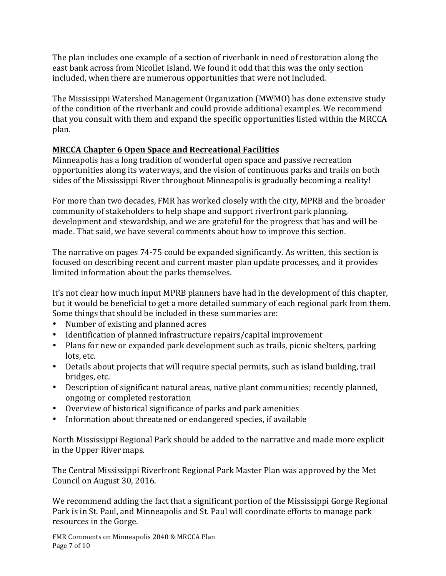The plan includes one example of a section of riverbank in need of restoration along the east bank across from Nicollet Island. We found it odd that this was the only section included, when there are numerous opportunities that were not included.

The Mississippi Watershed Management Organization (MWMO) has done extensive study of the condition of the riverbank and could provide additional examples. We recommend that you consult with them and expand the specific opportunities listed within the MRCCA plan.

# **MRCCA Chapter 6 Open Space and Recreational Facilities**

Minneapolis has a long tradition of wonderful open space and passive recreation opportunities along its waterways, and the vision of continuous parks and trails on both sides of the Mississippi River throughout Minneapolis is gradually becoming a reality!

For more than two decades, FMR has worked closely with the city, MPRB and the broader community of stakeholders to help shape and support riverfront park planning, development and stewardship, and we are grateful for the progress that has and will be made. That said, we have several comments about how to improve this section.

The narrative on pages 74-75 could be expanded significantly. As written, this section is focused on describing recent and current master plan update processes, and it provides limited information about the parks themselves.

It's not clear how much input MPRB planners have had in the development of this chapter, but it would be beneficial to get a more detailed summary of each regional park from them. Some things that should be included in these summaries are:

- Number of existing and planned acres
- Identification of planned infrastructure repairs/capital improvement
- Plans for new or expanded park development such as trails, picnic shelters, parking lots, etc.
- Details about projects that will require special permits, such as island building, trail bridges, etc.
- Description of significant natural areas, native plant communities; recently planned, ongoing or completed restoration
- Overview of historical significance of parks and park amenities
- Information about threatened or endangered species, if available

North Mississippi Regional Park should be added to the narrative and made more explicit in the Upper River maps.

The Central Mississippi Riverfront Regional Park Master Plan was approved by the Met Council on August 30, 2016.

We recommend adding the fact that a significant portion of the Mississippi Gorge Regional Park is in St. Paul, and Minneapolis and St. Paul will coordinate efforts to manage park resources in the Gorge.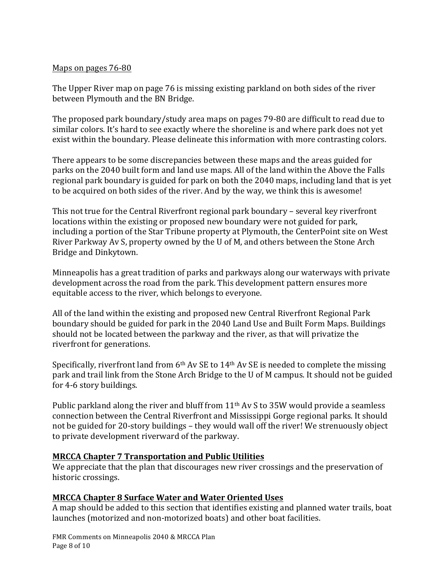#### Maps on pages 76-80

The Upper River map on page 76 is missing existing parkland on both sides of the river between Plymouth and the BN Bridge.

The proposed park boundary/study area maps on pages 79-80 are difficult to read due to similar colors. It's hard to see exactly where the shoreline is and where park does not yet exist within the boundary. Please delineate this information with more contrasting colors.

There appears to be some discrepancies between these maps and the areas guided for parks on the 2040 built form and land use maps. All of the land within the Above the Falls regional park boundary is guided for park on both the 2040 maps, including land that is yet to be acquired on both sides of the river. And by the way, we think this is awesome!

This not true for the Central Riverfront regional park boundary - several key riverfront locations within the existing or proposed new boundary were not guided for park, including a portion of the Star Tribune property at Plymouth, the CenterPoint site on West River Parkway Av S, property owned by the U of M, and others between the Stone Arch Bridge and Dinkytown.

Minneapolis has a great tradition of parks and parkways along our waterways with private development across the road from the park. This development pattern ensures more equitable access to the river, which belongs to everyone.

All of the land within the existing and proposed new Central Riverfront Regional Park boundary should be guided for park in the 2040 Land Use and Built Form Maps. Buildings should not be located between the parkway and the river, as that will privatize the riverfront for generations.

Specifically, riverfront land from  $6<sup>th</sup>$  Av SE to 14<sup>th</sup> Av SE is needed to complete the missing park and trail link from the Stone Arch Bridge to the U of M campus. It should not be guided for 4-6 story buildings.

Public parkland along the river and bluff from  $11<sup>th</sup>$  Av S to 35W would provide a seamless connection between the Central Riverfront and Mississippi Gorge regional parks. It should not be guided for 20-story buildings – they would wall off the river! We strenuously object to private development riverward of the parkway.

### **MRCCA Chapter 7 Transportation and Public Utilities**

We appreciate that the plan that discourages new river crossings and the preservation of historic crossings.

### **MRCCA Chapter 8 Surface Water and Water Oriented Uses**

A map should be added to this section that identifies existing and planned water trails, boat launches (motorized and non-motorized boats) and other boat facilities.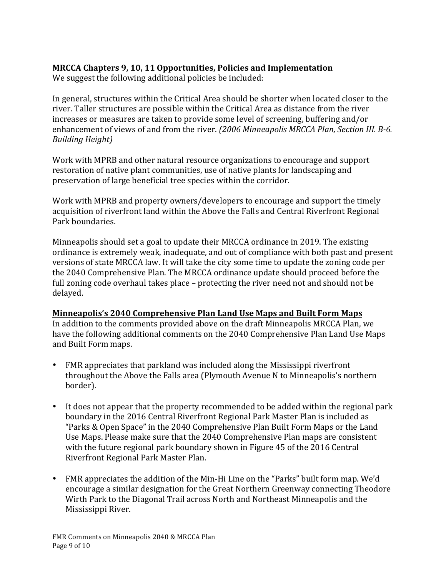# **MRCCA Chapters 9, 10, 11 Opportunities, Policies and Implementation**

We suggest the following additional policies be included:

In general, structures within the Critical Area should be shorter when located closer to the river. Taller structures are possible within the Critical Area as distance from the river increases or measures are taken to provide some level of screening, buffering and/or enhancement of views of and from the river. *(2006 Minneapolis MRCCA Plan, Section III. B-6. Building Height)*

Work with MPRB and other natural resource organizations to encourage and support restoration of native plant communities, use of native plants for landscaping and preservation of large beneficial tree species within the corridor.

Work with MPRB and property owners/developers to encourage and support the timely acquisition of riverfront land within the Above the Falls and Central Riverfront Regional Park boundaries.

Minneapolis should set a goal to update their MRCCA ordinance in 2019. The existing ordinance is extremely weak, inadequate, and out of compliance with both past and present versions of state MRCCA law. It will take the city some time to update the zoning code per the 2040 Comprehensive Plan. The MRCCA ordinance update should proceed before the full zoning code overhaul takes place – protecting the river need not and should not be delayed.

### **Minneapolis's 2040 Comprehensive Plan Land Use Maps and Built Form Maps**

In addition to the comments provided above on the draft Minneapolis MRCCA Plan, we have the following additional comments on the 2040 Comprehensive Plan Land Use Maps and Built Form maps.

- FMR appreciates that parkland was included along the Mississippi riverfront throughout the Above the Falls area (Plymouth Avenue N to Minneapolis's northern border).
- It does not appear that the property recommended to be added within the regional park boundary in the 2016 Central Riverfront Regional Park Master Plan is included as "Parks & Open Space" in the 2040 Comprehensive Plan Built Form Maps or the Land Use Maps. Please make sure that the 2040 Comprehensive Plan maps are consistent with the future regional park boundary shown in Figure 45 of the 2016 Central Riverfront Regional Park Master Plan.
- FMR appreciates the addition of the Min-Hi Line on the "Parks" built form map. We'd encourage a similar designation for the Great Northern Greenway connecting Theodore Wirth Park to the Diagonal Trail across North and Northeast Minneapolis and the Mississippi River.